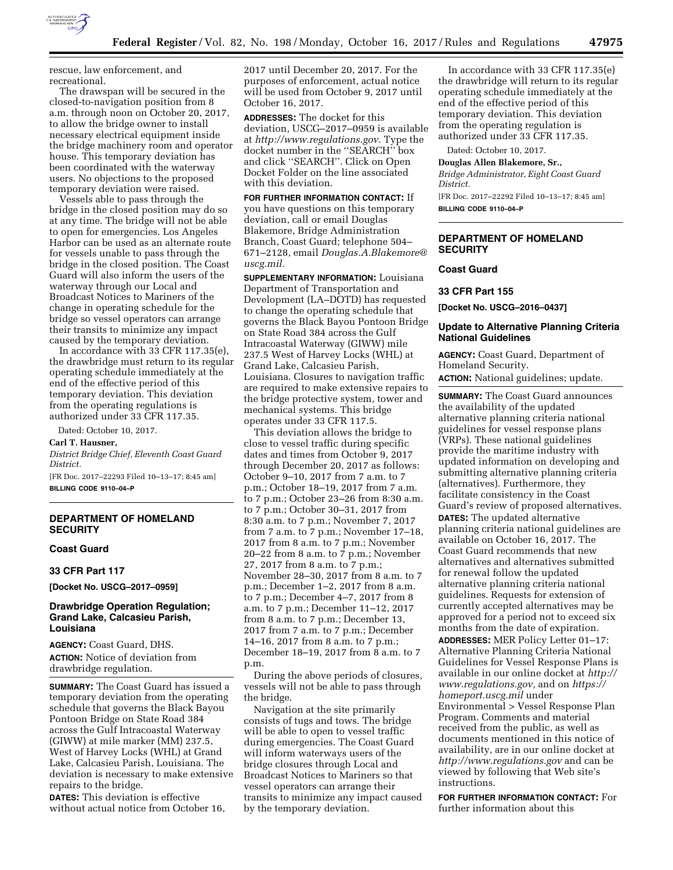

rescue, law enforcement, and recreational.

The drawspan will be secured in the closed-to-navigation position from 8 a.m. through noon on October 20, 2017, to allow the bridge owner to install necessary electrical equipment inside the bridge machinery room and operator house. This temporary deviation has been coordinated with the waterway users. No objections to the proposed temporary deviation were raised.

Vessels able to pass through the bridge in the closed position may do so at any time. The bridge will not be able to open for emergencies. Los Angeles Harbor can be used as an alternate route for vessels unable to pass through the bridge in the closed position. The Coast Guard will also inform the users of the waterway through our Local and Broadcast Notices to Mariners of the change in operating schedule for the bridge so vessel operators can arrange their transits to minimize any impact caused by the temporary deviation.

In accordance with 33 CFR 117.35(e), the drawbridge must return to its regular operating schedule immediately at the end of the effective period of this temporary deviation. This deviation from the operating regulations is authorized under 33 CFR 117.35.

Dated: October 10, 2017.

#### **Carl T. Hausner,**

*District Bridge Chief, Eleventh Coast Guard District.* 

[FR Doc. 2017–22293 Filed 10–13–17; 8:45 am] **BILLING CODE 9110–04–P** 

# **DEPARTMENT OF HOMELAND SECURITY**

## **Coast Guard**

#### **33 CFR Part 117**

**[Docket No. USCG–2017–0959]** 

### **Drawbridge Operation Regulation; Grand Lake, Calcasieu Parish, Louisiana**

**AGENCY:** Coast Guard, DHS. **ACTION:** Notice of deviation from drawbridge regulation.

**SUMMARY:** The Coast Guard has issued a temporary deviation from the operating schedule that governs the Black Bayou Pontoon Bridge on State Road 384 across the Gulf Intracoastal Waterway (GIWW) at mile marker (MM) 237.5, West of Harvey Locks (WHL) at Grand Lake, Calcasieu Parish, Louisiana. The deviation is necessary to make extensive repairs to the bridge.

**DATES:** This deviation is effective without actual notice from October 16, 2017 until December 20, 2017. For the purposes of enforcement, actual notice will be used from October 9, 2017 until October 16, 2017.

**ADDRESSES:** The docket for this deviation, USCG–2017–0959 is available at *[http://www.regulations.gov.](http://www.regulations.gov)* Type the docket number in the ''SEARCH'' box and click ''SEARCH''. Click on Open Docket Folder on the line associated with this deviation.

**FOR FURTHER INFORMATION CONTACT:** If you have questions on this temporary deviation, call or email Douglas Blakemore, Bridge Administration Branch, Coast Guard; telephone 504– 671–2128, email *[Douglas.A.Blakemore@](mailto:Douglas.A.Blakemore@uscg.mil) [uscg.mil.](mailto:Douglas.A.Blakemore@uscg.mil)* 

**SUPPLEMENTARY INFORMATION:** Louisiana Department of Transportation and Development (LA–DOTD) has requested to change the operating schedule that governs the Black Bayou Pontoon Bridge on State Road 384 across the Gulf Intracoastal Waterway (GIWW) mile 237.5 West of Harvey Locks (WHL) at Grand Lake, Calcasieu Parish, Louisiana. Closures to navigation traffic are required to make extensive repairs to the bridge protective system, tower and mechanical systems. This bridge operates under 33 CFR 117.5.

This deviation allows the bridge to close to vessel traffic during specific dates and times from October 9, 2017 through December 20, 2017 as follows: October 9–10, 2017 from 7 a.m. to 7 p.m.; October 18–19, 2017 from 7 a.m. to 7 p.m.; October 23–26 from 8:30 a.m. to 7 p.m.; October 30–31, 2017 from 8:30 a.m. to 7 p.m.; November 7, 2017 from 7 a.m. to 7 p.m.; November 17–18, 2017 from 8 a.m. to 7 p.m.; November 20–22 from 8 a.m. to  $\overline{7}$  p.m.; November 27, 2017 from 8 a.m. to 7 p.m.; November 28–30, 2017 from 8 a.m. to 7 p.m.; December 1–2, 2017 from 8 a.m. to 7 p.m.; December 4–7, 2017 from 8 a.m. to 7 p.m.; December 11–12, 2017 from 8 a.m. to 7 p.m.; December 13, 2017 from 7 a.m. to 7 p.m.; December 14–16, 2017 from 8 a.m. to 7 p.m.; December 18–19, 2017 from 8 a.m. to 7 p.m.

During the above periods of closures, vessels will not be able to pass through the bridge.

Navigation at the site primarily consists of tugs and tows. The bridge will be able to open to vessel traffic during emergencies. The Coast Guard will inform waterways users of the bridge closures through Local and Broadcast Notices to Mariners so that vessel operators can arrange their transits to minimize any impact caused by the temporary deviation.

In accordance with 33 CFR 117.35(e) the drawbridge will return to its regular operating schedule immediately at the end of the effective period of this temporary deviation. This deviation from the operating regulation is authorized under 33 CFR 117.35.

Dated: October 10, 2017.

**Douglas Allen Blakemore, Sr.,** 

*Bridge Administrator, Eight Coast Guard District.* 

[FR Doc. 2017–22292 Filed 10–13–17; 8:45 am] **BILLING CODE 9110–04–P** 

# **DEPARTMENT OF HOMELAND SECURITY**

#### **Coast Guard**

**33 CFR Part 155** 

**[Docket No. USCG–2016–0437]** 

### **Update to Alternative Planning Criteria National Guidelines**

**AGENCY:** Coast Guard, Department of Homeland Security.

**ACTION:** National guidelines; update.

**SUMMARY:** The Coast Guard announces the availability of the updated alternative planning criteria national guidelines for vessel response plans (VRPs). These national guidelines provide the maritime industry with updated information on developing and submitting alternative planning criteria (alternatives). Furthermore, they facilitate consistency in the Coast Guard's review of proposed alternatives. **DATES:** The updated alternative planning criteria national guidelines are available on October 16, 2017. The Coast Guard recommends that new alternatives and alternatives submitted for renewal follow the updated alternative planning criteria national guidelines. Requests for extension of currently accepted alternatives may be approved for a period not to exceed six months from the date of expiration.

**ADDRESSES:** MER Policy Letter 01–17: Alternative Planning Criteria National Guidelines for Vessel Response Plans is available in our online docket at *[http://](http://www.regulations.gov) [www.regulations.gov,](http://www.regulations.gov)* and on *[https://](https://homeport.uscg.mil) [homeport.uscg.mil](https://homeport.uscg.mil)* under Environmental > Vessel Response Plan Program. Comments and material received from the public, as well as documents mentioned in this notice of availability, are in our online docket at *<http://www.regulations.gov>* and can be viewed by following that Web site's instructions.

**FOR FURTHER INFORMATION CONTACT:** For further information about this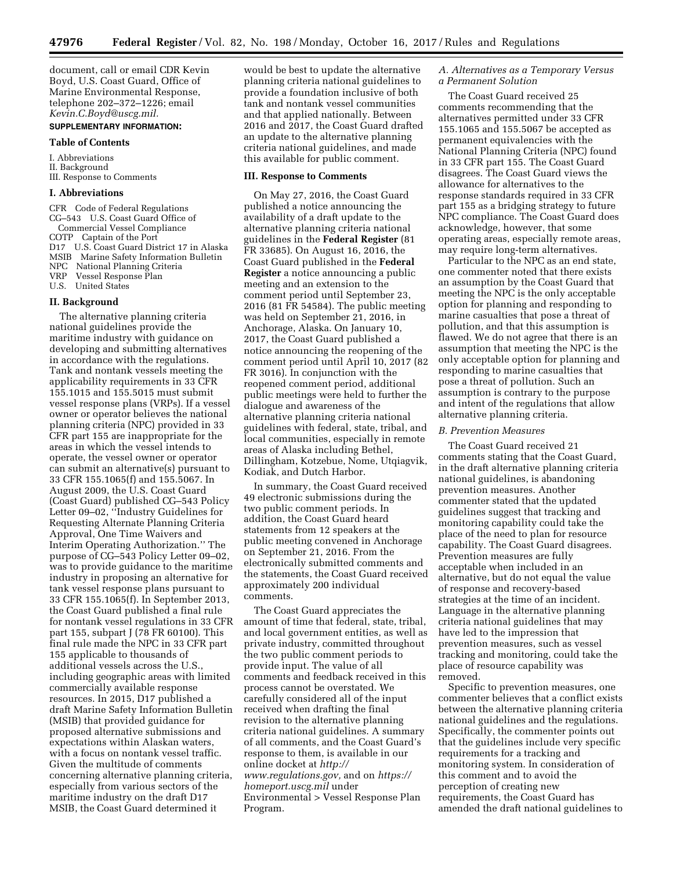document, call or email CDR Kevin Boyd, U.S. Coast Guard, Office of Marine Environmental Response, telephone 202–372–1226; email *[Kevin.C.Boyd@uscg.mil.](mailto:Kevin.C.Boyd@uscg.mil)* 

# **SUPPLEMENTARY INFORMATION:**

# **Table of Contents**

I. Abbreviations II. Background III. Response to Comments

#### **I. Abbreviations**

CFR Code of Federal Regulations CG–543 U.S. Coast Guard Office of Commercial Vessel Compliance COTP Captain of the Port D17 U.S. Coast Guard District 17 in Alaska MSIB Marine Safety Information Bulletin NPC National Planning Criteria<br>VRP Vessel Response Plan Vessel Response Plan U.S. United States

#### **II. Background**

The alternative planning criteria national guidelines provide the maritime industry with guidance on developing and submitting alternatives in accordance with the regulations. Tank and nontank vessels meeting the applicability requirements in 33 CFR 155.1015 and 155.5015 must submit vessel response plans (VRPs). If a vessel owner or operator believes the national planning criteria (NPC) provided in 33 CFR part 155 are inappropriate for the areas in which the vessel intends to operate, the vessel owner or operator can submit an alternative(s) pursuant to 33 CFR 155.1065(f) and 155.5067. In August 2009, the U.S. Coast Guard (Coast Guard) published CG–543 Policy Letter 09–02, ''Industry Guidelines for Requesting Alternate Planning Criteria Approval, One Time Waivers and Interim Operating Authorization.'' The purpose of CG–543 Policy Letter 09–02, was to provide guidance to the maritime industry in proposing an alternative for tank vessel response plans pursuant to 33 CFR 155.1065(f). In September 2013, the Coast Guard published a final rule for nontank vessel regulations in 33 CFR part 155, subpart J (78 FR 60100). This final rule made the NPC in 33 CFR part 155 applicable to thousands of additional vessels across the U.S., including geographic areas with limited commercially available response resources. In 2015, D17 published a draft Marine Safety Information Bulletin (MSIB) that provided guidance for proposed alternative submissions and expectations within Alaskan waters, with a focus on nontank vessel traffic. Given the multitude of comments concerning alternative planning criteria, especially from various sectors of the maritime industry on the draft D17 MSIB, the Coast Guard determined it

would be best to update the alternative planning criteria national guidelines to provide a foundation inclusive of both tank and nontank vessel communities and that applied nationally. Between 2016 and 2017, the Coast Guard drafted an update to the alternative planning criteria national guidelines, and made this available for public comment.

#### **III. Response to Comments**

On May 27, 2016, the Coast Guard published a notice announcing the availability of a draft update to the alternative planning criteria national guidelines in the **Federal Register** (81 FR 33685). On August 16, 2016, the Coast Guard published in the **Federal Register** a notice announcing a public meeting and an extension to the comment period until September 23, 2016 (81 FR 54584). The public meeting was held on September 21, 2016, in Anchorage, Alaska. On January 10, 2017, the Coast Guard published a notice announcing the reopening of the comment period until April 10, 2017 (82 FR 3016). In conjunction with the reopened comment period, additional public meetings were held to further the dialogue and awareness of the alternative planning criteria national guidelines with federal, state, tribal, and local communities, especially in remote areas of Alaska including Bethel, Dillingham, Kotzebue, Nome, Utqiagvik, Kodiak, and Dutch Harbor.

In summary, the Coast Guard received 49 electronic submissions during the two public comment periods. In addition, the Coast Guard heard statements from 12 speakers at the public meeting convened in Anchorage on September 21, 2016. From the electronically submitted comments and the statements, the Coast Guard received approximately 200 individual comments.

The Coast Guard appreciates the amount of time that federal, state, tribal, and local government entities, as well as private industry, committed throughout the two public comment periods to provide input. The value of all comments and feedback received in this process cannot be overstated. We carefully considered all of the input received when drafting the final revision to the alternative planning criteria national guidelines. A summary of all comments, and the Coast Guard's response to them, is available in our online docket at *[http://](http://www.regulations.gov) [www.regulations.gov,](http://www.regulations.gov)* and on *[https://](https://homeport.uscg.mil) [homeport.uscg.mil](https://homeport.uscg.mil)* under Environmental > Vessel Response Plan Program.

### *A. Alternatives as a Temporary Versus a Permanent Solution*

The Coast Guard received 25 comments recommending that the alternatives permitted under 33 CFR 155.1065 and 155.5067 be accepted as permanent equivalencies with the National Planning Criteria (NPC) found in 33 CFR part 155. The Coast Guard disagrees. The Coast Guard views the allowance for alternatives to the response standards required in 33 CFR part 155 as a bridging strategy to future NPC compliance. The Coast Guard does acknowledge, however, that some operating areas, especially remote areas, may require long-term alternatives.

Particular to the NPC as an end state, one commenter noted that there exists an assumption by the Coast Guard that meeting the NPC is the only acceptable option for planning and responding to marine casualties that pose a threat of pollution, and that this assumption is flawed. We do not agree that there is an assumption that meeting the NPC is the only acceptable option for planning and responding to marine casualties that pose a threat of pollution. Such an assumption is contrary to the purpose and intent of the regulations that allow alternative planning criteria.

#### *B. Prevention Measures*

The Coast Guard received 21 comments stating that the Coast Guard, in the draft alternative planning criteria national guidelines, is abandoning prevention measures. Another commenter stated that the updated guidelines suggest that tracking and monitoring capability could take the place of the need to plan for resource capability. The Coast Guard disagrees. Prevention measures are fully acceptable when included in an alternative, but do not equal the value of response and recovery-based strategies at the time of an incident. Language in the alternative planning criteria national guidelines that may have led to the impression that prevention measures, such as vessel tracking and monitoring, could take the place of resource capability was removed.

Specific to prevention measures, one commenter believes that a conflict exists between the alternative planning criteria national guidelines and the regulations. Specifically, the commenter points out that the guidelines include very specific requirements for a tracking and monitoring system. In consideration of this comment and to avoid the perception of creating new requirements, the Coast Guard has amended the draft national guidelines to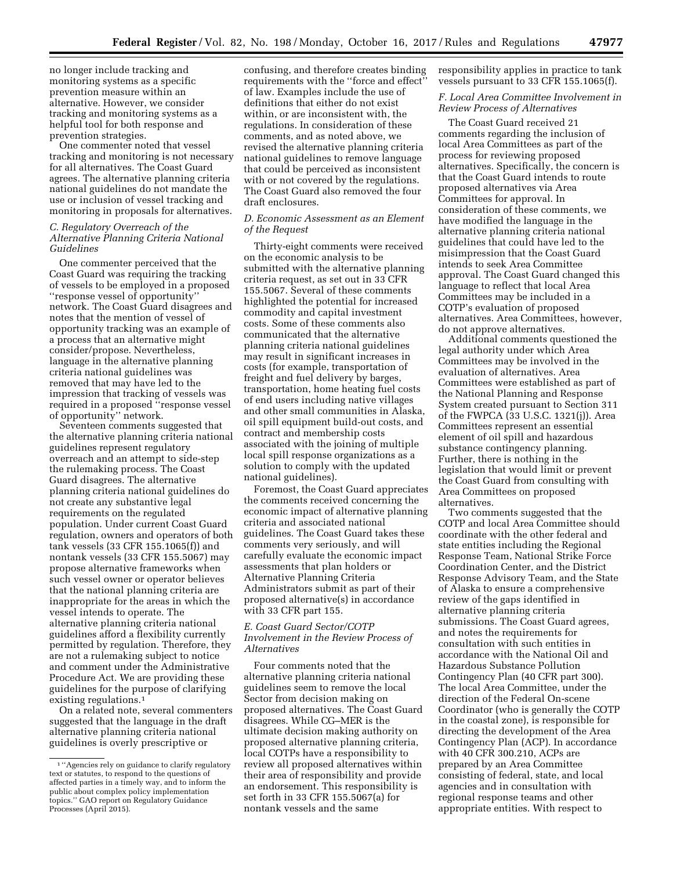no longer include tracking and monitoring systems as a specific prevention measure within an alternative. However, we consider tracking and monitoring systems as a helpful tool for both response and prevention strategies.

One commenter noted that vessel tracking and monitoring is not necessary for all alternatives. The Coast Guard agrees. The alternative planning criteria national guidelines do not mandate the use or inclusion of vessel tracking and monitoring in proposals for alternatives.

#### *C. Regulatory Overreach of the Alternative Planning Criteria National Guidelines*

One commenter perceived that the Coast Guard was requiring the tracking of vessels to be employed in a proposed ''response vessel of opportunity'' network. The Coast Guard disagrees and notes that the mention of vessel of opportunity tracking was an example of a process that an alternative might consider/propose. Nevertheless, language in the alternative planning criteria national guidelines was removed that may have led to the impression that tracking of vessels was required in a proposed ''response vessel of opportunity'' network.

Seventeen comments suggested that the alternative planning criteria national guidelines represent regulatory overreach and an attempt to side-step the rulemaking process. The Coast Guard disagrees. The alternative planning criteria national guidelines do not create any substantive legal requirements on the regulated population. Under current Coast Guard regulation, owners and operators of both tank vessels (33 CFR 155.1065(f)) and nontank vessels (33 CFR 155.5067) may propose alternative frameworks when such vessel owner or operator believes that the national planning criteria are inappropriate for the areas in which the vessel intends to operate. The alternative planning criteria national guidelines afford a flexibility currently permitted by regulation. Therefore, they are not a rulemaking subject to notice and comment under the Administrative Procedure Act. We are providing these guidelines for the purpose of clarifying existing regulations.1

On a related note, several commenters suggested that the language in the draft alternative planning criteria national guidelines is overly prescriptive or

confusing, and therefore creates binding requirements with the ''force and effect'' of law. Examples include the use of definitions that either do not exist within, or are inconsistent with, the regulations. In consideration of these comments, and as noted above, we revised the alternative planning criteria national guidelines to remove language that could be perceived as inconsistent with or not covered by the regulations. The Coast Guard also removed the four draft enclosures.

# *D. Economic Assessment as an Element of the Request*

Thirty-eight comments were received on the economic analysis to be submitted with the alternative planning criteria request, as set out in 33 CFR 155.5067. Several of these comments highlighted the potential for increased commodity and capital investment costs. Some of these comments also communicated that the alternative planning criteria national guidelines may result in significant increases in costs (for example, transportation of freight and fuel delivery by barges, transportation, home heating fuel costs of end users including native villages and other small communities in Alaska, oil spill equipment build-out costs, and contract and membership costs associated with the joining of multiple local spill response organizations as a solution to comply with the updated national guidelines).

Foremost, the Coast Guard appreciates the comments received concerning the economic impact of alternative planning criteria and associated national guidelines. The Coast Guard takes these comments very seriously, and will carefully evaluate the economic impact assessments that plan holders or Alternative Planning Criteria Administrators submit as part of their proposed alternative(s) in accordance with 33 CFR part 155.

# *E. Coast Guard Sector/COTP Involvement in the Review Process of Alternatives*

Four comments noted that the alternative planning criteria national guidelines seem to remove the local Sector from decision making on proposed alternatives. The Coast Guard disagrees. While CG–MER is the ultimate decision making authority on proposed alternative planning criteria, local COTPs have a responsibility to review all proposed alternatives within their area of responsibility and provide an endorsement. This responsibility is set forth in 33 CFR 155.5067(a) for nontank vessels and the same

responsibility applies in practice to tank vessels pursuant to 33 CFR 155.1065(f).

### *F. Local Area Committee Involvement in Review Process of Alternatives*

The Coast Guard received 21 comments regarding the inclusion of local Area Committees as part of the process for reviewing proposed alternatives. Specifically, the concern is that the Coast Guard intends to route proposed alternatives via Area Committees for approval. In consideration of these comments, we have modified the language in the alternative planning criteria national guidelines that could have led to the misimpression that the Coast Guard intends to seek Area Committee approval. The Coast Guard changed this language to reflect that local Area Committees may be included in a COTP's evaluation of proposed alternatives. Area Committees, however, do not approve alternatives.

Additional comments questioned the legal authority under which Area Committees may be involved in the evaluation of alternatives. Area Committees were established as part of the National Planning and Response System created pursuant to Section 311 of the FWPCA (33 U.S.C. 1321(j)). Area Committees represent an essential element of oil spill and hazardous substance contingency planning. Further, there is nothing in the legislation that would limit or prevent the Coast Guard from consulting with Area Committees on proposed alternatives.

Two comments suggested that the COTP and local Area Committee should coordinate with the other federal and state entities including the Regional Response Team, National Strike Force Coordination Center, and the District Response Advisory Team, and the State of Alaska to ensure a comprehensive review of the gaps identified in alternative planning criteria submissions. The Coast Guard agrees, and notes the requirements for consultation with such entities in accordance with the National Oil and Hazardous Substance Pollution Contingency Plan (40 CFR part 300). The local Area Committee, under the direction of the Federal On-scene Coordinator (who is generally the COTP in the coastal zone), is responsible for directing the development of the Area Contingency Plan (ACP). In accordance with 40 CFR 300.210, ACPs are prepared by an Area Committee consisting of federal, state, and local agencies and in consultation with regional response teams and other appropriate entities. With respect to

<sup>1</sup> ''Agencies rely on guidance to clarify regulatory text or statutes, to respond to the questions of affected parties in a timely way, and to inform the public about complex policy implementation topics.'' GAO report on Regulatory Guidance Processes (April 2015).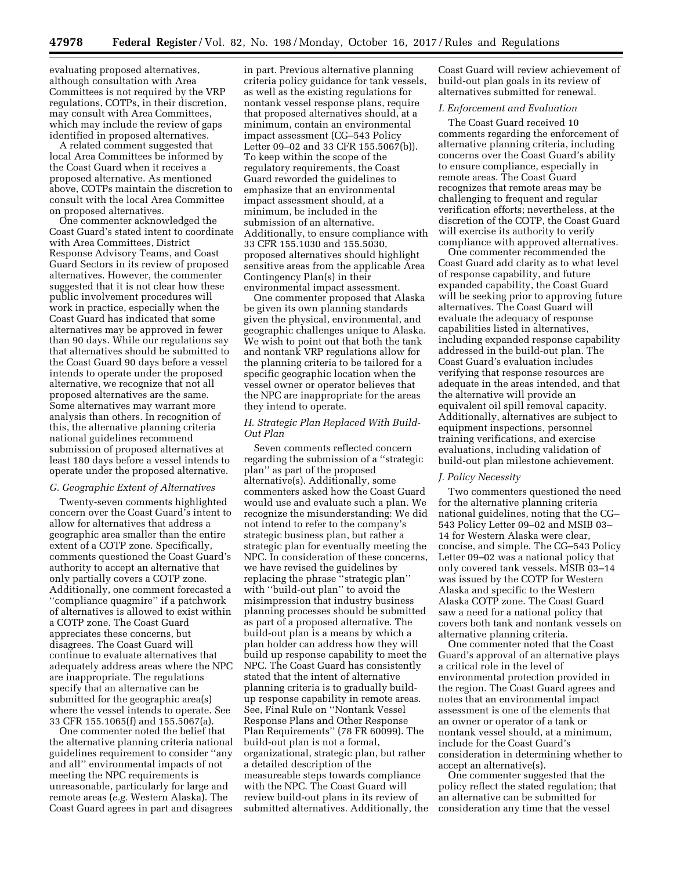evaluating proposed alternatives, although consultation with Area Committees is not required by the VRP regulations, COTPs, in their discretion, may consult with Area Committees, which may include the review of gaps identified in proposed alternatives.

A related comment suggested that local Area Committees be informed by the Coast Guard when it receives a proposed alternative. As mentioned above, COTPs maintain the discretion to consult with the local Area Committee on proposed alternatives.

One commenter acknowledged the Coast Guard's stated intent to coordinate with Area Committees, District Response Advisory Teams, and Coast Guard Sectors in its review of proposed alternatives. However, the commenter suggested that it is not clear how these public involvement procedures will work in practice, especially when the Coast Guard has indicated that some alternatives may be approved in fewer than 90 days. While our regulations say that alternatives should be submitted to the Coast Guard 90 days before a vessel intends to operate under the proposed alternative, we recognize that not all proposed alternatives are the same. Some alternatives may warrant more analysis than others. In recognition of this, the alternative planning criteria national guidelines recommend submission of proposed alternatives at least 180 days before a vessel intends to operate under the proposed alternative.

# *G. Geographic Extent of Alternatives*

Twenty-seven comments highlighted concern over the Coast Guard's intent to allow for alternatives that address a geographic area smaller than the entire extent of a COTP zone. Specifically, comments questioned the Coast Guard's authority to accept an alternative that only partially covers a COTP zone. Additionally, one comment forecasted a ''compliance quagmire'' if a patchwork of alternatives is allowed to exist within a COTP zone. The Coast Guard appreciates these concerns, but disagrees. The Coast Guard will continue to evaluate alternatives that adequately address areas where the NPC are inappropriate. The regulations specify that an alternative can be submitted for the geographic area(s) where the vessel intends to operate. See 33 CFR 155.1065(f) and 155.5067(a).

One commenter noted the belief that the alternative planning criteria national guidelines requirement to consider ''any and all'' environmental impacts of not meeting the NPC requirements is unreasonable, particularly for large and remote areas (*e.g.* Western Alaska). The Coast Guard agrees in part and disagrees

in part. Previous alternative planning criteria policy guidance for tank vessels, as well as the existing regulations for nontank vessel response plans, require that proposed alternatives should, at a minimum, contain an environmental impact assessment (CG–543 Policy Letter 09–02 and 33 CFR 155.5067(b)). To keep within the scope of the regulatory requirements, the Coast Guard reworded the guidelines to emphasize that an environmental impact assessment should, at a minimum, be included in the submission of an alternative. Additionally, to ensure compliance with 33 CFR 155.1030 and 155.5030, proposed alternatives should highlight sensitive areas from the applicable Area Contingency Plan(s) in their environmental impact assessment.

One commenter proposed that Alaska be given its own planning standards given the physical, environmental, and geographic challenges unique to Alaska. We wish to point out that both the tank and nontank VRP regulations allow for the planning criteria to be tailored for a specific geographic location when the vessel owner or operator believes that the NPC are inappropriate for the areas they intend to operate.

### *H. Strategic Plan Replaced With Build-Out Plan*

Seven comments reflected concern regarding the submission of a ''strategic plan'' as part of the proposed alternative(s). Additionally, some commenters asked how the Coast Guard would use and evaluate such a plan. We recognize the misunderstanding: We did not intend to refer to the company's strategic business plan, but rather a strategic plan for eventually meeting the NPC. In consideration of these concerns, we have revised the guidelines by replacing the phrase ''strategic plan'' with "build-out plan" to avoid the misimpression that industry business planning processes should be submitted as part of a proposed alternative. The build-out plan is a means by which a plan holder can address how they will build up response capability to meet the NPC. The Coast Guard has consistently stated that the intent of alternative planning criteria is to gradually buildup response capability in remote areas. See, Final Rule on ''Nontank Vessel Response Plans and Other Response Plan Requirements'' (78 FR 60099). The build-out plan is not a formal, organizational, strategic plan, but rather a detailed description of the measureable steps towards compliance with the NPC. The Coast Guard will review build-out plans in its review of submitted alternatives. Additionally, the

Coast Guard will review achievement of build-out plan goals in its review of alternatives submitted for renewal.

# *I. Enforcement and Evaluation*

The Coast Guard received 10 comments regarding the enforcement of alternative planning criteria, including concerns over the Coast Guard's ability to ensure compliance, especially in remote areas. The Coast Guard recognizes that remote areas may be challenging to frequent and regular verification efforts; nevertheless, at the discretion of the COTP, the Coast Guard will exercise its authority to verify compliance with approved alternatives.

One commenter recommended the Coast Guard add clarity as to what level of response capability, and future expanded capability, the Coast Guard will be seeking prior to approving future alternatives. The Coast Guard will evaluate the adequacy of response capabilities listed in alternatives, including expanded response capability addressed in the build-out plan. The Coast Guard's evaluation includes verifying that response resources are adequate in the areas intended, and that the alternative will provide an equivalent oil spill removal capacity. Additionally, alternatives are subject to equipment inspections, personnel training verifications, and exercise evaluations, including validation of build-out plan milestone achievement.

#### *J. Policy Necessity*

Two commenters questioned the need for the alternative planning criteria national guidelines, noting that the CG– 543 Policy Letter 09–02 and MSIB 03– 14 for Western Alaska were clear, concise, and simple. The CG–543 Policy Letter 09–02 was a national policy that only covered tank vessels. MSIB 03–14 was issued by the COTP for Western Alaska and specific to the Western Alaska COTP zone. The Coast Guard saw a need for a national policy that covers both tank and nontank vessels on alternative planning criteria.

One commenter noted that the Coast Guard's approval of an alternative plays a critical role in the level of environmental protection provided in the region. The Coast Guard agrees and notes that an environmental impact assessment is one of the elements that an owner or operator of a tank or nontank vessel should, at a minimum, include for the Coast Guard's consideration in determining whether to accept an alternative(s).

One commenter suggested that the policy reflect the stated regulation; that an alternative can be submitted for consideration any time that the vessel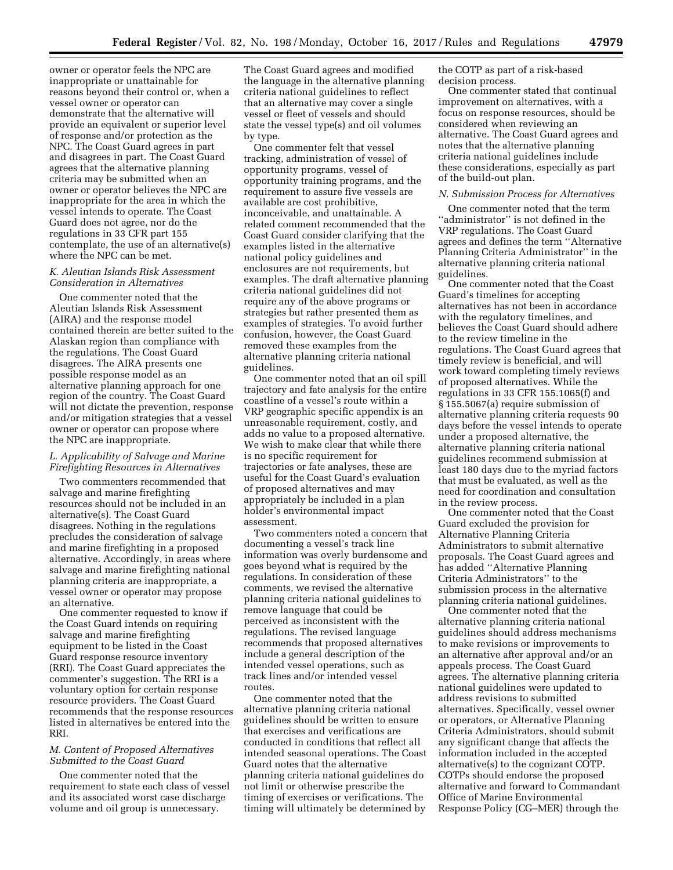owner or operator feels the NPC are inappropriate or unattainable for reasons beyond their control or, when a vessel owner or operator can demonstrate that the alternative will provide an equivalent or superior level of response and/or protection as the NPC. The Coast Guard agrees in part and disagrees in part. The Coast Guard agrees that the alternative planning criteria may be submitted when an owner or operator believes the NPC are inappropriate for the area in which the vessel intends to operate. The Coast Guard does not agree, nor do the regulations in 33 CFR part 155 contemplate, the use of an alternative(s) where the NPC can be met.

# *K. Aleutian Islands Risk Assessment Consideration in Alternatives*

One commenter noted that the Aleutian Islands Risk Assessment (AIRA) and the response model contained therein are better suited to the Alaskan region than compliance with the regulations. The Coast Guard disagrees. The AIRA presents one possible response model as an alternative planning approach for one region of the country. The Coast Guard will not dictate the prevention, response and/or mitigation strategies that a vessel owner or operator can propose where the NPC are inappropriate.

#### *L. Applicability of Salvage and Marine Firefighting Resources in Alternatives*

Two commenters recommended that salvage and marine firefighting resources should not be included in an alternative(s). The Coast Guard disagrees. Nothing in the regulations precludes the consideration of salvage and marine firefighting in a proposed alternative. Accordingly, in areas where salvage and marine firefighting national planning criteria are inappropriate, a vessel owner or operator may propose an alternative.

One commenter requested to know if the Coast Guard intends on requiring salvage and marine firefighting equipment to be listed in the Coast Guard response resource inventory (RRI). The Coast Guard appreciates the commenter's suggestion. The RRI is a voluntary option for certain response resource providers. The Coast Guard recommends that the response resources listed in alternatives be entered into the RRI.

# *M. Content of Proposed Alternatives Submitted to the Coast Guard*

One commenter noted that the requirement to state each class of vessel and its associated worst case discharge volume and oil group is unnecessary.

The Coast Guard agrees and modified the language in the alternative planning criteria national guidelines to reflect that an alternative may cover a single vessel or fleet of vessels and should state the vessel type(s) and oil volumes by type.

One commenter felt that vessel tracking, administration of vessel of opportunity programs, vessel of opportunity training programs, and the requirement to assure five vessels are available are cost prohibitive, inconceivable, and unattainable. A related comment recommended that the Coast Guard consider clarifying that the examples listed in the alternative national policy guidelines and enclosures are not requirements, but examples. The draft alternative planning criteria national guidelines did not require any of the above programs or strategies but rather presented them as examples of strategies. To avoid further confusion, however, the Coast Guard removed these examples from the alternative planning criteria national guidelines.

One commenter noted that an oil spill trajectory and fate analysis for the entire coastline of a vessel's route within a VRP geographic specific appendix is an unreasonable requirement, costly, and adds no value to a proposed alternative. We wish to make clear that while there is no specific requirement for trajectories or fate analyses, these are useful for the Coast Guard's evaluation of proposed alternatives and may appropriately be included in a plan holder's environmental impact assessment.

Two commenters noted a concern that documenting a vessel's track line information was overly burdensome and goes beyond what is required by the regulations. In consideration of these comments, we revised the alternative planning criteria national guidelines to remove language that could be perceived as inconsistent with the regulations. The revised language recommends that proposed alternatives include a general description of the intended vessel operations, such as track lines and/or intended vessel routes.

One commenter noted that the alternative planning criteria national guidelines should be written to ensure that exercises and verifications are conducted in conditions that reflect all intended seasonal operations. The Coast Guard notes that the alternative planning criteria national guidelines do not limit or otherwise prescribe the timing of exercises or verifications. The timing will ultimately be determined by

the COTP as part of a risk-based decision process.

One commenter stated that continual improvement on alternatives, with a focus on response resources, should be considered when reviewing an alternative. The Coast Guard agrees and notes that the alternative planning criteria national guidelines include these considerations, especially as part of the build-out plan.

#### *N. Submission Process for Alternatives*

One commenter noted that the term "administrator" is not defined in the VRP regulations. The Coast Guard agrees and defines the term ''Alternative Planning Criteria Administrator'' in the alternative planning criteria national guidelines.

One commenter noted that the Coast Guard's timelines for accepting alternatives has not been in accordance with the regulatory timelines, and believes the Coast Guard should adhere to the review timeline in the regulations. The Coast Guard agrees that timely review is beneficial, and will work toward completing timely reviews of proposed alternatives. While the regulations in 33 CFR 155.1065(f) and § 155.5067(a) require submission of alternative planning criteria requests 90 days before the vessel intends to operate under a proposed alternative, the alternative planning criteria national guidelines recommend submission at least 180 days due to the myriad factors that must be evaluated, as well as the need for coordination and consultation in the review process.

One commenter noted that the Coast Guard excluded the provision for Alternative Planning Criteria Administrators to submit alternative proposals. The Coast Guard agrees and has added ''Alternative Planning Criteria Administrators'' to the submission process in the alternative planning criteria national guidelines.

One commenter noted that the alternative planning criteria national guidelines should address mechanisms to make revisions or improvements to an alternative after approval and/or an appeals process. The Coast Guard agrees. The alternative planning criteria national guidelines were updated to address revisions to submitted alternatives. Specifically, vessel owner or operators, or Alternative Planning Criteria Administrators, should submit any significant change that affects the information included in the accepted alternative(s) to the cognizant COTP. COTPs should endorse the proposed alternative and forward to Commandant Office of Marine Environmental Response Policy (CG–MER) through the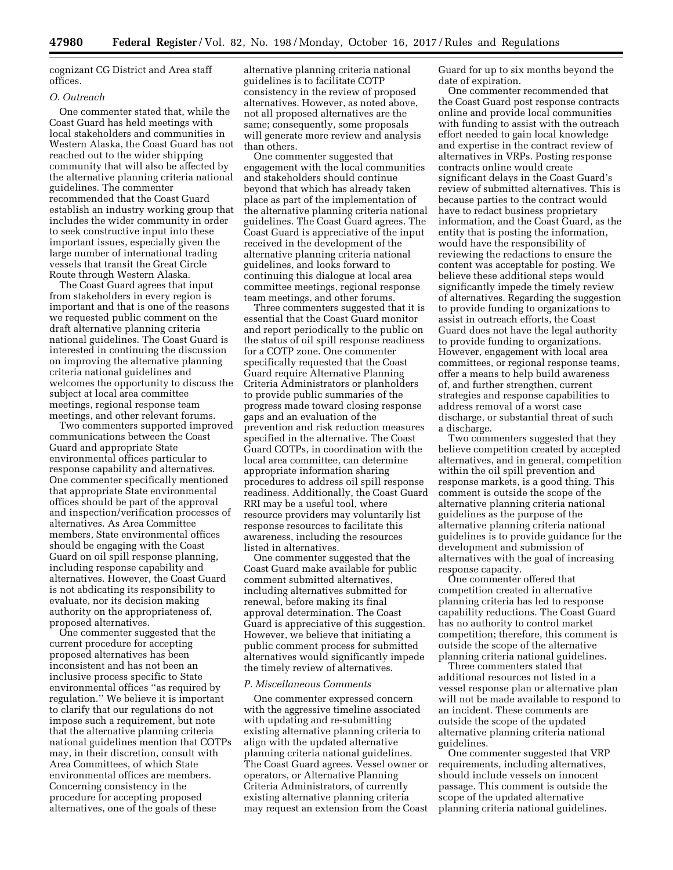cognizant CG District and Area staff offices.

# *O. Outreach*

One commenter stated that, while the Coast Guard has held meetings with local stakeholders and communities in Western Alaska, the Coast Guard has not reached out to the wider shipping community that will also be affected by the alternative planning criteria national guidelines. The commenter recommended that the Coast Guard establish an industry working group that includes the wider community in order to seek constructive input into these important issues, especially given the large number of international trading vessels that transit the Great Circle Route through Western Alaska.

The Coast Guard agrees that input from stakeholders in every region is important and that is one of the reasons we requested public comment on the draft alternative planning criteria national guidelines. The Coast Guard is interested in continuing the discussion on improving the alternative planning criteria national guidelines and welcomes the opportunity to discuss the subject at local area committee meetings, regional response team meetings, and other relevant forums.

Two commenters supported improved communications between the Coast Guard and appropriate State environmental offices particular to response capability and alternatives. One commenter specifically mentioned that appropriate State environmental offices should be part of the approval and inspection/verification processes of alternatives. As Area Committee members, State environmental offices should be engaging with the Coast Guard on oil spill response planning, including response capability and alternatives. However, the Coast Guard is not abdicating its responsibility to evaluate, nor its decision making authority on the appropriateness of, proposed alternatives.

One commenter suggested that the current procedure for accepting proposed alternatives has been inconsistent and has not been an inclusive process specific to State environmental offices ''as required by regulation.'' We believe it is important to clarify that our regulations do not impose such a requirement, but note that the alternative planning criteria national guidelines mention that COTPs may, in their discretion, consult with Area Committees, of which State environmental offices are members. Concerning consistency in the procedure for accepting proposed alternatives, one of the goals of these

alternative planning criteria national guidelines is to facilitate COTP consistency in the review of proposed alternatives. However, as noted above, not all proposed alternatives are the same; consequently, some proposals will generate more review and analysis than others.

One commenter suggested that engagement with the local communities and stakeholders should continue beyond that which has already taken place as part of the implementation of the alternative planning criteria national guidelines. The Coast Guard agrees. The Coast Guard is appreciative of the input received in the development of the alternative planning criteria national guidelines, and looks forward to continuing this dialogue at local area committee meetings, regional response team meetings, and other forums.

Three commenters suggested that it is essential that the Coast Guard monitor and report periodically to the public on the status of oil spill response readiness for a COTP zone. One commenter specifically requested that the Coast Guard require Alternative Planning Criteria Administrators or planholders to provide public summaries of the progress made toward closing response gaps and an evaluation of the prevention and risk reduction measures specified in the alternative. The Coast Guard COTPs, in coordination with the local area committee, can determine appropriate information sharing procedures to address oil spill response readiness. Additionally, the Coast Guard RRI may be a useful tool, where resource providers may voluntarily list response resources to facilitate this awareness, including the resources listed in alternatives.

One commenter suggested that the Coast Guard make available for public comment submitted alternatives, including alternatives submitted for renewal, before making its final approval determination. The Coast Guard is appreciative of this suggestion. However, we believe that initiating a public comment process for submitted alternatives would significantly impede the timely review of alternatives.

#### *P. Miscellaneous Comments*

One commenter expressed concern with the aggressive timeline associated with updating and re-submitting existing alternative planning criteria to align with the updated alternative planning criteria national guidelines. The Coast Guard agrees. Vessel owner or operators, or Alternative Planning Criteria Administrators, of currently existing alternative planning criteria may request an extension from the Coast

Guard for up to six months beyond the date of expiration.

One commenter recommended that the Coast Guard post response contracts online and provide local communities with funding to assist with the outreach effort needed to gain local knowledge and expertise in the contract review of alternatives in VRPs. Posting response contracts online would create significant delays in the Coast Guard's review of submitted alternatives. This is because parties to the contract would have to redact business proprietary information, and the Coast Guard, as the entity that is posting the information, would have the responsibility of reviewing the redactions to ensure the content was acceptable for posting. We believe these additional steps would significantly impede the timely review of alternatives. Regarding the suggestion to provide funding to organizations to assist in outreach efforts, the Coast Guard does not have the legal authority to provide funding to organizations. However, engagement with local area committees, or regional response teams, offer a means to help build awareness of, and further strengthen, current strategies and response capabilities to address removal of a worst case discharge, or substantial threat of such a discharge.

Two commenters suggested that they believe competition created by accepted alternatives, and in general, competition within the oil spill prevention and response markets, is a good thing. This comment is outside the scope of the alternative planning criteria national guidelines as the purpose of the alternative planning criteria national guidelines is to provide guidance for the development and submission of alternatives with the goal of increasing response capacity.

One commenter offered that competition created in alternative planning criteria has led to response capability reductions. The Coast Guard has no authority to control market competition; therefore, this comment is outside the scope of the alternative planning criteria national guidelines.

Three commenters stated that additional resources not listed in a vessel response plan or alternative plan will not be made available to respond to an incident. These comments are outside the scope of the updated alternative planning criteria national guidelines.

One commenter suggested that VRP requirements, including alternatives, should include vessels on innocent passage. This comment is outside the scope of the updated alternative planning criteria national guidelines.